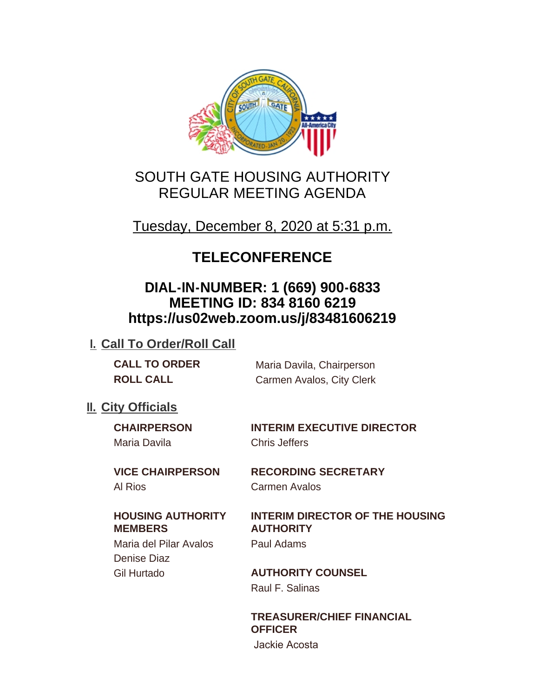

# SOUTH GATE HOUSING AUTHORITY REGULAR MEETING AGENDA

Tuesday, December 8, 2020 at 5:31 p.m.

# **TELECONFERENCE**

# **DIAL-IN-NUMBER: 1 (669) 900-6833 MEETING ID: 834 8160 6219 https://us02web.zoom.us/j/83481606219**

# **I. Call To Order/Roll Call**

**CALL TO ORDER** Maria Davila, Chairperson **ROLL CALL** Carmen Avalos, City Clerk

# **II.** City Officials

Maria Davila Chris Jeffers

**CHAIRPERSON INTERIM EXECUTIVE DIRECTOR**

#### **VICE CHAIRPERSON RECORDING SECRETARY** Al Rios Carmen Avalos

### **HOUSING AUTHORITY MEMBERS**

Maria del Pilar Avalos Paul Adams Denise Diaz

# **INTERIM DIRECTOR OF THE HOUSING AUTHORITY**

Gil Hurtado **AUTHORITY COUNSEL** Raul F. Salinas

# **TREASURER/CHIEF FINANCIAL OFFICER**

Jackie Acosta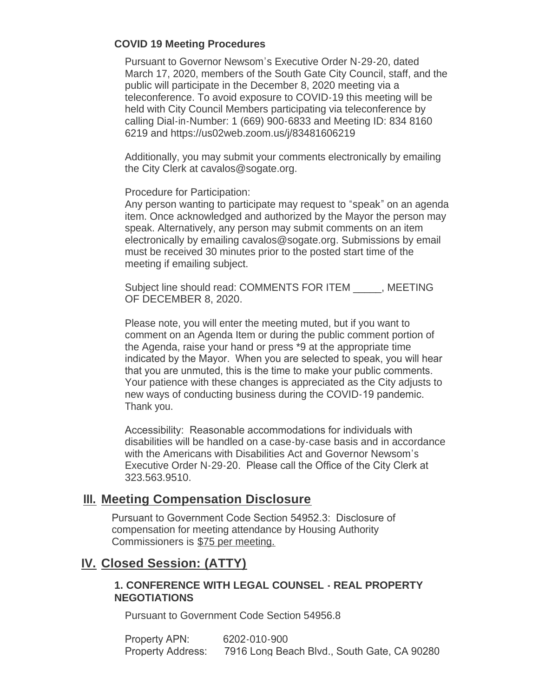#### **COVID 19 Meeting Procedures**

Pursuant to Governor Newsom's Executive Order N-29-20, dated March 17, 2020, members of the South Gate City Council, staff, and the public will participate in the December 8, 2020 meeting via a teleconference. To avoid exposure to COVID-19 this meeting will be held with City Council Members participating via teleconference by calling Dial-in-Number: 1 (669) 900-6833 and Meeting ID: 834 8160 6219 and https://us02web.zoom.us/j/83481606219

Additionally, you may submit your comments electronically by emailing the City Clerk at cavalos@sogate.org.

Procedure for Participation:

Any person wanting to participate may request to "speak" on an agenda item. Once acknowledged and authorized by the Mayor the person may speak. Alternatively, any person may submit comments on an item electronically by emailing cavalos@sogate.org. Submissions by email must be received 30 minutes prior to the posted start time of the meeting if emailing subject.

Subject line should read: COMMENTS FOR ITEM FRIMETING OF DECEMBER 8, 2020.

Please note, you will enter the meeting muted, but if you want to comment on an Agenda Item or during the public comment portion of the Agenda, raise your hand or press \*9 at the appropriate time indicated by the Mayor. When you are selected to speak, you will hear that you are unmuted, this is the time to make your public comments. Your patience with these changes is appreciated as the City adjusts to new ways of conducting business during the COVID-19 pandemic. Thank you.

Accessibility: Reasonable accommodations for individuals with disabilities will be handled on a case-by-case basis and in accordance with the Americans with Disabilities Act and Governor Newsom's Executive Order N-29-20. Please call the Office of the City Clerk at 323.563.9510.

### **Meeting Compensation Disclosure III.**

Pursuant to Government Code Section 54952.3: Disclosure of compensation for meeting attendance by Housing Authority Commissioners is \$75 per meeting.

# **Closed Session: (ATTY) IV.**

#### **1. CONFERENCE WITH LEGAL COUNSEL - REAL PROPERTY NEGOTIATIONS**

Pursuant to Government Code Section 54956.8

| Property APN:            | 6202-010-900                                |
|--------------------------|---------------------------------------------|
| <b>Property Address:</b> | 7916 Long Beach Blvd., South Gate, CA 90280 |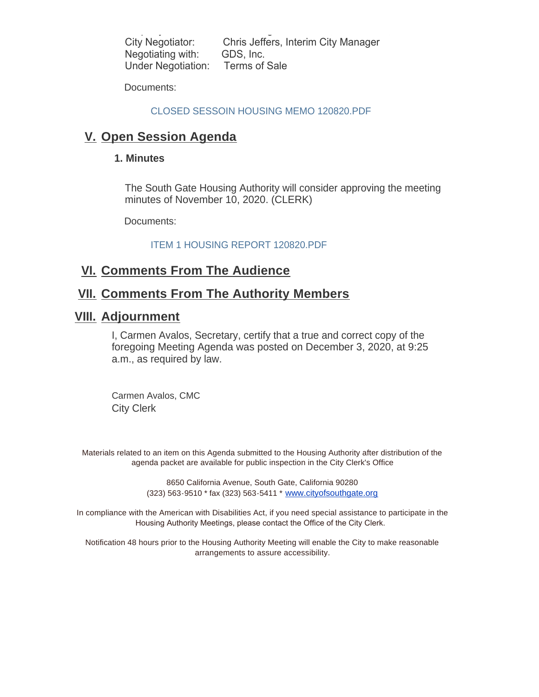Property Address: 7916 Long Beach Blvd., South Gate, CA 90280 City Negotiator: Chris Jeffers, Interim City Manager Negotiating with: GDS, Inc. Under Negotiation: Terms of Sale

Documents:

#### CLOSED SESSOIN HOUSING MEMO 120820.PDF

## **V.** Open Session Agenda

#### **1. Minutes**

The South Gate Housing Authority will consider approving the meeting minutes of November 10, 2020. (CLERK)

Documents:

ITEM 1 HOUSING REPORT 120820.PDF

## **<u>VI. Comments From The Audience</u>**

## **<u>VII. Comments From The Authority Members</u>**

#### **Adjournment VIII.**

I, Carmen Avalos, Secretary, certify that a true and correct copy of the foregoing Meeting Agenda was posted on December 3, 2020, at 9:25 a.m., as required by law.

Carmen Avalos, CMC City Clerk

Materials related to an item on this Agenda submitted to the Housing Authority after distribution of the agenda packet are available for public inspection in the City Clerk's Office

> 8650 California Avenue, South Gate, California 90280 (323) 563-9510 \* fax (323) 563-5411 \* [www.cityofsouthgate.org](http://www.cityofsouthgate.org/)

In compliance with the American with Disabilities Act, if you need special assistance to participate in the Housing Authority Meetings, please contact the Office of the City Clerk.

Notification 48 hours prior to the Housing Authority Meeting will enable the City to make reasonable arrangements to assure accessibility.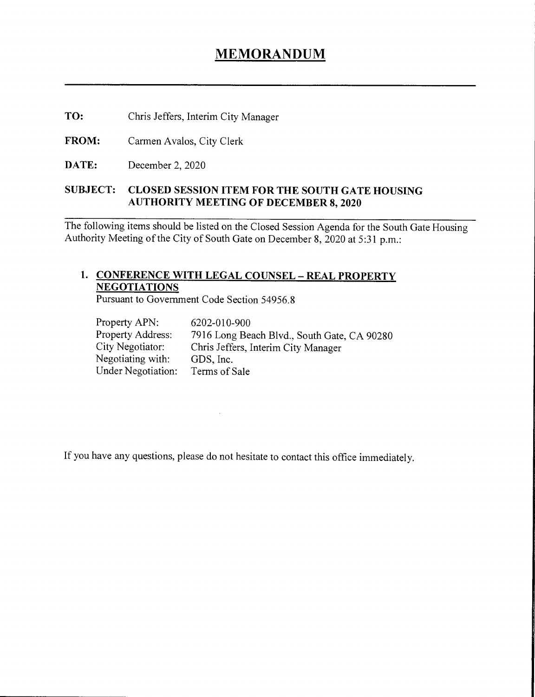# **MEMORANDUM**

TO: Chris Jeffers, Interim City Manager

FROM: Carmen Avalos, City Clerk

DATE: December 2, 2020

#### **SUBJECT: CLOSED SESSION ITEM FOR THE SOUTH GATE HOUSING AUTHORITY MEETING OF DECEMBER 8, 2020**

The following items should be listed on the Closed Session Agenda for the South Gate Housing Authority Meeting of the City of South Gate on December 8, 2020 at 5:31 p.m.:

### 1. CONFERENCE WITH LEGAL COUNSEL - REAL PROPERTY **NEGOTIATIONS**

Pursuant to Government Code Section 54956.8

| Property APN:      | 6202-010-900                                |
|--------------------|---------------------------------------------|
| Property Address:  | 7916 Long Beach Blvd., South Gate, CA 90280 |
| City Negotiator:   | Chris Jeffers, Interim City Manager         |
| Negotiating with:  | GDS, Inc.                                   |
| Under Negotiation: | Terms of Sale                               |

If you have any questions, please do not hesitate to contact this office immediately.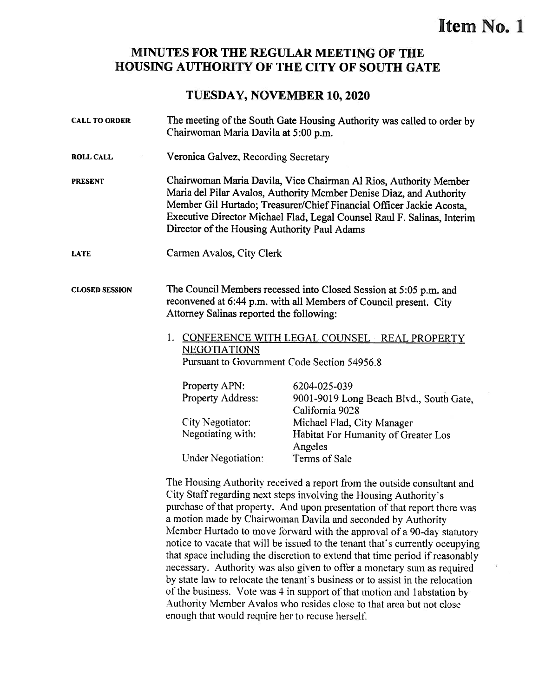# Item No. 1

#### MINUTES FOR THE REGULAR MEETING OF THE HOUSiNG AUTHORITY OF THE CITY OF SOUTH GATE

#### TUESDAY, NOVEMBER 10, 2020

| <b>CALL TO ORDER</b>  | The meeting of the South Gate Housing Authority was called to order by<br>Chairwoman Maria Davila at 5:00 p.m.                                                                                                                                                                                                                             |                                                                                                                                                 |  |
|-----------------------|--------------------------------------------------------------------------------------------------------------------------------------------------------------------------------------------------------------------------------------------------------------------------------------------------------------------------------------------|-------------------------------------------------------------------------------------------------------------------------------------------------|--|
| <b>ROLL CALL</b>      | Veronica Galvez, Recording Secretary                                                                                                                                                                                                                                                                                                       |                                                                                                                                                 |  |
| <b>PRESENT</b>        | Chairwoman Maria Davila, Vice Chairman Al Rios, Authority Member<br>Maria del Pilar Avalos, Authority Member Denise Diaz, and Authority<br>Member Gil Hurtado; Treasurer/Chief Financial Officer Jackie Acosta,<br>Executive Director Michael Flad, Legal Counsel Raul F. Salinas, Interim<br>Director of the Housing Authority Paul Adams |                                                                                                                                                 |  |
| <b>LATE</b>           | Carmen Avalos, City Clerk                                                                                                                                                                                                                                                                                                                  |                                                                                                                                                 |  |
| <b>CLOSED SESSION</b> | The Council Members recessed into Closed Session at 5:05 p.m. and<br>reconvened at 6:44 p.m. with all Members of Council present. City<br>Attorney Salinas reported the following:                                                                                                                                                         |                                                                                                                                                 |  |
|                       | <b>NEGOTIATIONS</b>                                                                                                                                                                                                                                                                                                                        | 1. CONFERENCE WITH LEGAL COUNSEL - REAL PROPERTY<br>Pursuant to Government Code Section 54956.8                                                 |  |
|                       | Property APN:<br>Property Address:<br>City Negotiator:<br>Negotiating with:                                                                                                                                                                                                                                                                | 6204-025-039<br>9001-9019 Long Beach Blvd., South Gate,<br>California 9028<br>Michael Flad, City Manager<br>Habitat For Humanity of Greater Los |  |
|                       | <b>Under Negotiation:</b>                                                                                                                                                                                                                                                                                                                  | Angeles<br>Terms of Sale                                                                                                                        |  |

The Housing Authority received a report from the outside consultant and City Staff regarding next steps involving the Housing Authority's purchase of that property. And upon presentation of that report there was a motion made by Chairwoman Daviia and seconded by Authority Member Hurtado to move forward with the approval of a 90-day statutory notice to vacate that will be issued to the tenant that's currently occupying that space including the discretion to extend that time period if reasonably necessary. Authority was also given to offer a monetary sum as required by state law to relocate the tenant is business or to assist in the relocation of the business. Vote was 4 in support of that motion and <sup>1</sup> ahstation by Authority Member Avalos who resides close to that area hut not close enough that would require her to recuse herself.